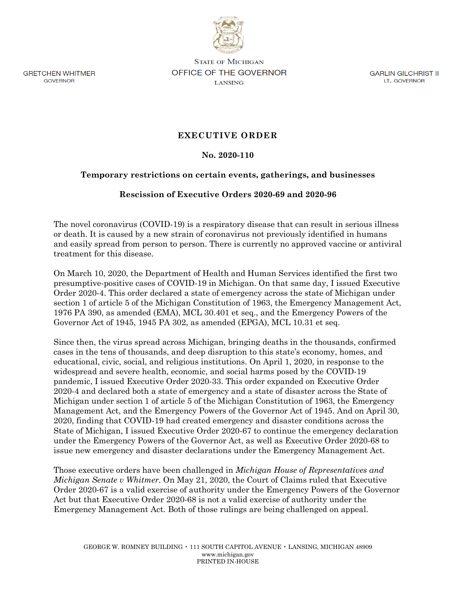

**GRETCHEN WHITMER** GOVERNOR

**STATE OF MICHIGAN OFFICE OF THE GOVERNOR LANSING** 

GARLIN GILCHRIST II LT. GOVERNOR

# **EXECUTIVE ORDER**

### **No. 2020-110**

#### **Temporary restrictions on certain events, gatherings, and businesses**

#### **Rescission of Executive Orders 2020-69 and 2020-96**

The novel coronavirus (COVID-19) is a respiratory disease that can result in serious illness or death. It is caused by a new strain of coronavirus not previously identified in humans and easily spread from person to person. There is currently no approved vaccine or antiviral treatment for this disease.

On March 10, 2020, the Department of Health and Human Services identified the first two presumptive-positive cases of COVID-19 in Michigan. On that same day, I issued Executive Order 2020-4. This order declared a state of emergency across the state of Michigan under section 1 of article 5 of the Michigan Constitution of 1963, the Emergency Management Act, 1976 PA 390, as amended (EMA), MCL 30.401 et seq., and the Emergency Powers of the Governor Act of 1945, 1945 PA 302, as amended (EPGA), MCL 10.31 et seq.

Since then, the virus spread across Michigan, bringing deaths in the thousands, confirmed cases in the tens of thousands, and deep disruption to this state's economy, homes, and educational, civic, social, and religious institutions. On April 1, 2020, in response to the widespread and severe health, economic, and social harms posed by the COVID-19 pandemic, I issued Executive Order 2020-33. This order expanded on Executive Order 2020-4 and declared both a state of emergency and a state of disaster across the State of Michigan under section 1 of article 5 of the Michigan Constitution of 1963, the Emergency Management Act, and the Emergency Powers of the Governor Act of 1945. And on April 30, 2020, finding that COVID-19 had created emergency and disaster conditions across the State of Michigan, I issued Executive Order 2020-67 to continue the emergency declaration under the Emergency Powers of the Governor Act, as well as Executive Order 2020-68 to issue new emergency and disaster declarations under the Emergency Management Act.

Those executive orders have been challenged in *Michigan House of Representatives and Michigan Senate v Whitmer*. On May 21, 2020, the Court of Claims ruled that Executive Order 2020-67 is a valid exercise of authority under the Emergency Powers of the Governor Act but that Executive Order 2020-68 is not a valid exercise of authority under the Emergency Management Act. Both of those rulings are being challenged on appeal.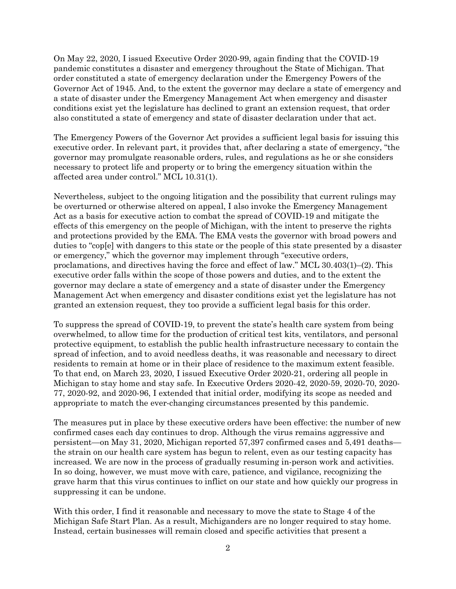On May 22, 2020, I issued Executive Order 2020-99, again finding that the COVID-19 pandemic constitutes a disaster and emergency throughout the State of Michigan. That order constituted a state of emergency declaration under the Emergency Powers of the Governor Act of 1945. And, to the extent the governor may declare a state of emergency and a state of disaster under the Emergency Management Act when emergency and disaster conditions exist yet the legislature has declined to grant an extension request, that order also constituted a state of emergency and state of disaster declaration under that act.

The Emergency Powers of the Governor Act provides a sufficient legal basis for issuing this executive order. In relevant part, it provides that, after declaring a state of emergency, "the governor may promulgate reasonable orders, rules, and regulations as he or she considers necessary to protect life and property or to bring the emergency situation within the affected area under control." MCL 10.31(1).

Nevertheless, subject to the ongoing litigation and the possibility that current rulings may be overturned or otherwise altered on appeal, I also invoke the Emergency Management Act as a basis for executive action to combat the spread of COVID-19 and mitigate the effects of this emergency on the people of Michigan, with the intent to preserve the rights and protections provided by the EMA. The EMA vests the governor with broad powers and duties to "cop[e] with dangers to this state or the people of this state presented by a disaster or emergency," which the governor may implement through "executive orders, proclamations, and directives having the force and effect of law." MCL 30.403(1)–(2). This executive order falls within the scope of those powers and duties, and to the extent the governor may declare a state of emergency and a state of disaster under the Emergency Management Act when emergency and disaster conditions exist yet the legislature has not granted an extension request, they too provide a sufficient legal basis for this order.

To suppress the spread of COVID-19, to prevent the state's health care system from being overwhelmed, to allow time for the production of critical test kits, ventilators, and personal protective equipment, to establish the public health infrastructure necessary to contain the spread of infection, and to avoid needless deaths, it was reasonable and necessary to direct residents to remain at home or in their place of residence to the maximum extent feasible. To that end, on March 23, 2020, I issued Executive Order 2020-21, ordering all people in Michigan to stay home and stay safe. In Executive Orders 2020-42, 2020-59, 2020-70, 2020- 77, 2020-92, and 2020-96, I extended that initial order, modifying its scope as needed and appropriate to match the ever-changing circumstances presented by this pandemic.

The measures put in place by these executive orders have been effective: the number of new confirmed cases each day continues to drop. Although the virus remains aggressive and persistent—on May 31, 2020, Michigan reported 57,397 confirmed cases and 5,491 deaths the strain on our health care system has begun to relent, even as our testing capacity has increased. We are now in the process of gradually resuming in-person work and activities. In so doing, however, we must move with care, patience, and vigilance, recognizing the grave harm that this virus continues to inflict on our state and how quickly our progress in suppressing it can be undone.

With this order, I find it reasonable and necessary to move the state to Stage 4 of the Michigan Safe Start Plan. As a result, Michiganders are no longer required to stay home. Instead, certain businesses will remain closed and specific activities that present a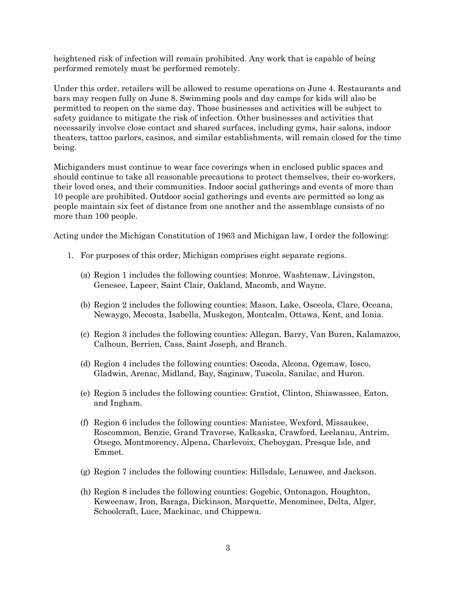heightened risk of infection will remain prohibited. Any work that is capable of being performed remotely must be performed remotely.

Under this order, retailers will be allowed to resume operations on June 4. Restaurants and bars may reopen fully on June 8. Swimming pools and day camps for kids will also be permitted to reopen on the same day. Those businesses and activities will be subject to safety guidance to mitigate the risk of infection. Other businesses and activities that necessarily involve close contact and shared surfaces, including gyms, hair salons, indoor theaters, tattoo parlors, casinos, and similar establishments, will remain closed for the time being.

Michiganders must continue to wear face coverings when in enclosed public spaces and should continue to take all reasonable precautions to protect themselves, their co-workers, their loved ones, and their communities. Indoor social gatherings and events of more than 10 people are prohibited. Outdoor social gatherings and events are permitted so long as people maintain six feet of distance from one another and the assemblage consists of no more than 100 people.

Acting under the Michigan Constitution of 1963 and Michigan law, I order the following:

- 1. For purposes of this order, Michigan comprises eight separate regions.
	- (a) Region 1 includes the following counties: Monroe, Washtenaw, Livingston, Genesee, Lapeer, Saint Clair, Oakland, Macomb, and Wayne.
	- (b) Region 2 includes the following counties: Mason, Lake, Osceola, Clare, Oceana, Newaygo, Mecosta, Isabella, Muskegon, Montcalm, Ottawa, Kent, and Ionia.
	- (c) Region 3 includes the following counties: Allegan, Barry, Van Buren, Kalamazoo, Calhoun, Berrien, Cass, Saint Joseph, and Branch.
	- (d) Region 4 includes the following counties: Oscoda, Alcona, Ogemaw, Iosco, Gladwin, Arenac, Midland, Bay, Saginaw, Tuscola, Sanilac, and Huron.
	- (e) Region 5 includes the following counties: Gratiot, Clinton, Shiawassee, Eaton, and Ingham.
	- (f) Region 6 includes the following counties: Manistee, Wexford, Missaukee, Roscommon, Benzie, Grand Traverse, Kalkaska, Crawford, Leelanau, Antrim, Otsego, Montmorency, Alpena, Charlevoix, Cheboygan, Presque Isle, and Emmet.
	- (g) Region 7 includes the following counties: Hillsdale, Lenawee, and Jackson.
	- (h) Region 8 includes the following counties: Gogebic, Ontonagon, Houghton, Keweenaw, Iron, Baraga, Dickinson, Marquette, Menominee, Delta, Alger, Schoolcraft, Luce, Mackinac, and Chippewa.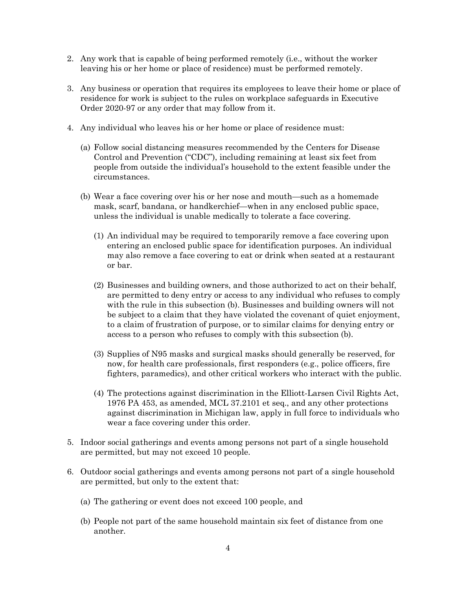- 2. Any work that is capable of being performed remotely (i.e., without the worker leaving his or her home or place of residence) must be performed remotely.
- 3. Any business or operation that requires its employees to leave their home or place of residence for work is subject to the rules on workplace safeguards in Executive Order 2020-97 or any order that may follow from it.
- 4. Any individual who leaves his or her home or place of residence must:
	- (a) Follow social distancing measures recommended by the Centers for Disease Control and Prevention ("CDC"), including remaining at least six feet from people from outside the individual's household to the extent feasible under the circumstances.
	- (b) Wear a face covering over his or her nose and mouth—such as a homemade mask, scarf, bandana, or handkerchief—when in any enclosed public space, unless the individual is unable medically to tolerate a face covering.
		- (1) An individual may be required to temporarily remove a face covering upon entering an enclosed public space for identification purposes. An individual may also remove a face covering to eat or drink when seated at a restaurant or bar.
		- (2) Businesses and building owners, and those authorized to act on their behalf, are permitted to deny entry or access to any individual who refuses to comply with the rule in this subsection (b). Businesses and building owners will not be subject to a claim that they have violated the covenant of quiet enjoyment, to a claim of frustration of purpose, or to similar claims for denying entry or access to a person who refuses to comply with this subsection (b).
		- (3) Supplies of N95 masks and surgical masks should generally be reserved, for now, for health care professionals, first responders (e.g., police officers, fire fighters, paramedics), and other critical workers who interact with the public.
		- (4) The protections against discrimination in the Elliott-Larsen Civil Rights Act, 1976 PA 453, as amended, MCL 37.2101 et seq., and any other protections against discrimination in Michigan law, apply in full force to individuals who wear a face covering under this order.
- 5. Indoor social gatherings and events among persons not part of a single household are permitted, but may not exceed 10 people.
- 6. Outdoor social gatherings and events among persons not part of a single household are permitted, but only to the extent that:
	- (a) The gathering or event does not exceed 100 people, and
	- (b) People not part of the same household maintain six feet of distance from one another.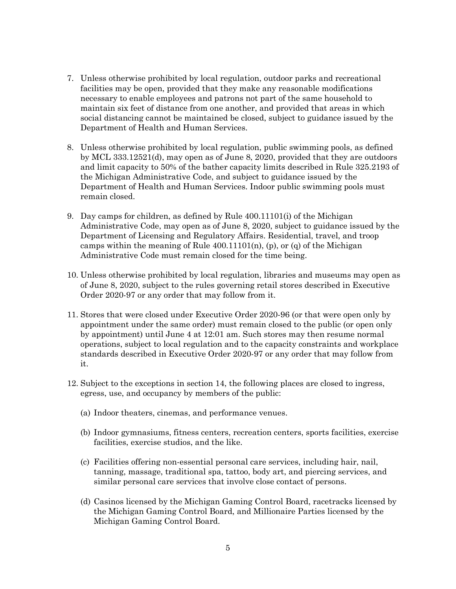- 7. Unless otherwise prohibited by local regulation, outdoor parks and recreational facilities may be open, provided that they make any reasonable modifications necessary to enable employees and patrons not part of the same household to maintain six feet of distance from one another, and provided that areas in which social distancing cannot be maintained be closed, subject to guidance issued by the Department of Health and Human Services.
- 8. Unless otherwise prohibited by local regulation, public swimming pools, as defined by MCL 333.12521(d), may open as of June 8, 2020, provided that they are outdoors and limit capacity to 50% of the bather capacity limits described in Rule 325.2193 of the Michigan Administrative Code, and subject to guidance issued by the Department of Health and Human Services. Indoor public swimming pools must remain closed.
- 9. Day camps for children, as defined by Rule 400.11101(i) of the Michigan Administrative Code, may open as of June 8, 2020, subject to guidance issued by the Department of Licensing and Regulatory Affairs. Residential, travel, and troop camps within the meaning of Rule  $400.11101(n)$ , (p), or (q) of the Michigan Administrative Code must remain closed for the time being.
- 10. Unless otherwise prohibited by local regulation, libraries and museums may open as of June 8, 2020, subject to the rules governing retail stores described in Executive Order 2020-97 or any order that may follow from it.
- 11. Stores that were closed under Executive Order 2020-96 (or that were open only by appointment under the same order) must remain closed to the public (or open only by appointment) until June 4 at 12:01 am. Such stores may then resume normal operations, subject to local regulation and to the capacity constraints and workplace standards described in Executive Order 2020-97 or any order that may follow from it.
- 12. Subject to the exceptions in section 14, the following places are closed to ingress, egress, use, and occupancy by members of the public:
	- (a) Indoor theaters, cinemas, and performance venues.
	- (b) Indoor gymnasiums, fitness centers, recreation centers, sports facilities, exercise facilities, exercise studios, and the like.
	- (c) Facilities offering non-essential personal care services, including hair, nail, tanning, massage, traditional spa, tattoo, body art, and piercing services, and similar personal care services that involve close contact of persons.
	- (d) Casinos licensed by the Michigan Gaming Control Board, racetracks licensed by the Michigan Gaming Control Board, and Millionaire Parties licensed by the Michigan Gaming Control Board.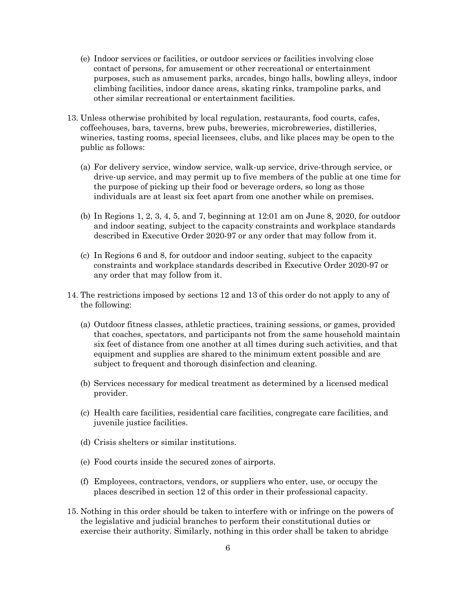- (e) Indoor services or facilities, or outdoor services or facilities involving close contact of persons, for amusement or other recreational or entertainment purposes, such as amusement parks, arcades, bingo halls, bowling alleys, indoor climbing facilities, indoor dance areas, skating rinks, trampoline parks, and other similar recreational or entertainment facilities.
- 13. Unless otherwise prohibited by local regulation, restaurants, food courts, cafes, coffeehouses, bars, taverns, brew pubs, breweries, microbreweries, distilleries, wineries, tasting rooms, special licensees, clubs, and like places may be open to the public as follows:
	- (a) For delivery service, window service, walk-up service, drive-through service, or drive-up service, and may permit up to five members of the public at one time for the purpose of picking up their food or beverage orders, so long as those individuals are at least six feet apart from one another while on premises.
	- (b) In Regions 1, 2, 3, 4, 5, and 7, beginning at 12:01 am on June 8, 2020, for outdoor and indoor seating, subject to the capacity constraints and workplace standards described in Executive Order 2020-97 or any order that may follow from it.
	- (c) In Regions 6 and 8, for outdoor and indoor seating, subject to the capacity constraints and workplace standards described in Executive Order 2020-97 or any order that may follow from it.
- 14. The restrictions imposed by sections 12 and 13 of this order do not apply to any of the following:
	- (a) Outdoor fitness classes, athletic practices, training sessions, or games, provided that coaches, spectators, and participants not from the same household maintain six feet of distance from one another at all times during such activities, and that equipment and supplies are shared to the minimum extent possible and are subject to frequent and thorough disinfection and cleaning.
	- (b) Services necessary for medical treatment as determined by a licensed medical provider.
	- (c) Health care facilities, residential care facilities, congregate care facilities, and juvenile justice facilities.
	- (d) Crisis shelters or similar institutions.
	- (e) Food courts inside the secured zones of airports.
	- (f) Employees, contractors, vendors, or suppliers who enter, use, or occupy the places described in section 12 of this order in their professional capacity.
- 15. Nothing in this order should be taken to interfere with or infringe on the powers of the legislative and judicial branches to perform their constitutional duties or exercise their authority. Similarly, nothing in this order shall be taken to abridge